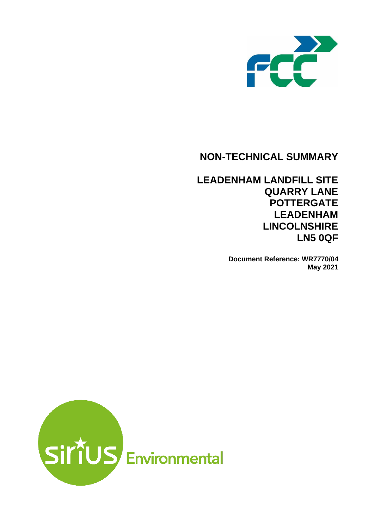

# **NON-TECHNICAL SUMMARY**

# **LEADENHAM LANDFILL SITE QUARRY LANE POTTERGATE LEADENHAM LINCOLNSHIRE LN5 0QF**

**Document Reference: WR7770/04 May 2021**

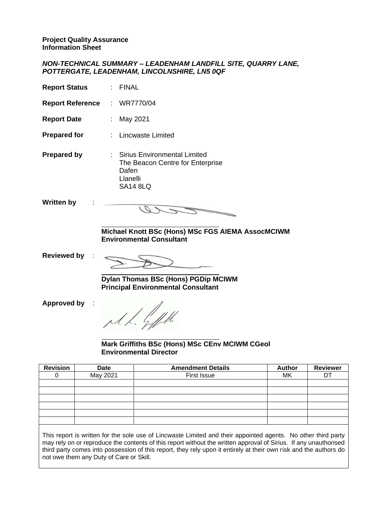#### *NON-TECHNICAL SUMMARY – LEADENHAM LANDFILL SITE, QUARRY LANE, POTTERGATE, LEADENHAM, LINCOLNSHIRE, LN5 0QF*

| <b>Report Status</b>    | <b>FINAL</b>                                                                                               |
|-------------------------|------------------------------------------------------------------------------------------------------------|
| <b>Report Reference</b> | : WR7770/04                                                                                                |
| <b>Report Date</b>      | : May 2021                                                                                                 |
| <b>Prepared for</b>     | : Lincwaste Limited                                                                                        |
| <b>Prepared by</b>      | : Sirius Environmental Limited<br>The Beacon Centre for Enterprise<br>Dafen<br>Llanelli<br><b>SA14 8LQ</b> |
| <b>Written by</b>       |                                                                                                            |
|                         | Michael Knott BSc (Hons) MSc FGS AIEMA AssocMCIWM<br><b>Environmental Consultant</b>                       |
| <b>Reviewed by</b>      |                                                                                                            |
|                         | <b>Dylan Thomas BSc (Hons) PGDip MCIWM</b><br><b>Principal Environmental Consultant</b>                    |
| <b>Approved by</b>      | $\frac{1}{2}$                                                                                              |

**Mark Griffiths BSc (Hons) MSc CEnv MCIWM CGeol Environmental Director**

| <b>Revision</b> | <b>Date</b> | <b>Amendment Details</b> | <b>Author</b> | <b>Reviewer</b> |
|-----------------|-------------|--------------------------|---------------|-----------------|
|                 | May 2021    | First Issue              | МK            | D٦              |
|                 |             |                          |               |                 |
|                 |             |                          |               |                 |
|                 |             |                          |               |                 |
|                 |             |                          |               |                 |
|                 |             |                          |               |                 |
|                 |             |                          |               |                 |

This report is written for the sole use of Lincwaste Limited and their appointed agents. No other third party may rely on or reproduce the contents of this report without the written approval of Sirius. If any unauthorised third party comes into possession of this report, they rely upon it entirely at their own risk and the authors do not owe them any Duty of Care or Skill.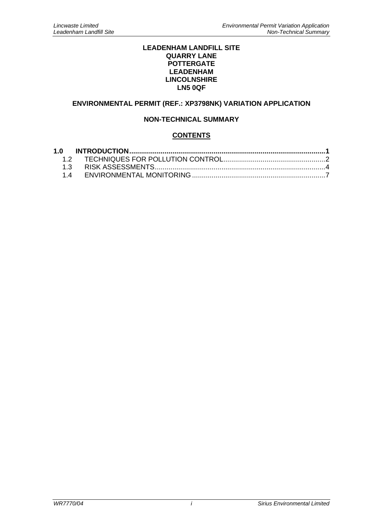#### **LEADENHAM LANDFILL SITE QUARRY LANE POTTERGATE LEADENHAM LINCOLNSHIRE LN5 0QF**

# **ENVIRONMENTAL PERMIT (REF.: XP3798NK) VARIATION APPLICATION**

## **NON-TECHNICAL SUMMARY**

## **CONTENTS**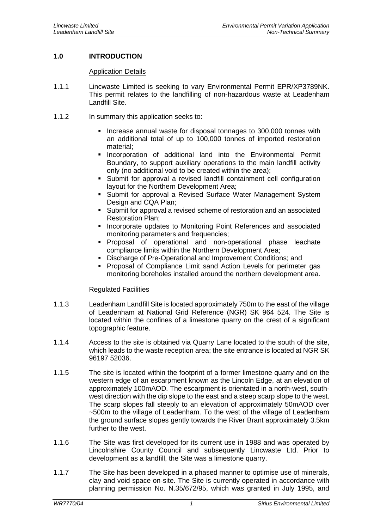# <span id="page-3-0"></span>**1.0 INTRODUCTION**

#### Application Details

- 1.1.1 Lincwaste Limited is seeking to vary Environmental Permit EPR/XP3789NK. This permit relates to the landfilling of non-hazardous waste at Leadenham Landfill Site.
- 1.1.2 In summary this application seeks to:
	- **.** Increase annual waste for disposal tonnages to 300,000 tonnes with an additional total of up to 100,000 tonnes of imported restoration material;
	- **·** Incorporation of additional land into the Environmental Permit Boundary, to support auxiliary operations to the main landfill activity only (no additional void to be created within the area);
	- Submit for approval a revised landfill containment cell configuration layout for the Northern Development Area;
	- **EXECT** Submit for approval a Revised Surface Water Management System Design and CQA Plan;
	- **EXECT** Submit for approval a revised scheme of restoration and an associated Restoration Plan;
	- **.** Incorporate updates to Monitoring Point References and associated monitoring parameters and frequencies;
	- Proposal of operational and non-operational phase leachate compliance limits within the Northern Development Area;
	- Discharge of Pre-Operational and Improvement Conditions; and
	- Proposal of Compliance Limit sand Action Levels for perimeter gas monitoring boreholes installed around the northern development area.

#### Regulated Facilities

- 1.1.3 Leadenham Landfill Site is located approximately 750m to the east of the village of Leadenham at National Grid Reference (NGR) SK 964 524. The Site is located within the confines of a limestone quarry on the crest of a significant topographic feature.
- 1.1.4 Access to the site is obtained via Quarry Lane located to the south of the site, which leads to the waste reception area; the site entrance is located at NGR SK 96197 52036.
- 1.1.5 The site is located within the footprint of a former limestone quarry and on the western edge of an escarpment known as the Lincoln Edge, at an elevation of approximately 100mAOD. The escarpment is orientated in a north-west, southwest direction with the dip slope to the east and a steep scarp slope to the west. The scarp slopes fall steeply to an elevation of approximately 50mAOD over ~500m to the village of Leadenham. To the west of the village of Leadenham the ground surface slopes gently towards the River Brant approximately 3.5km further to the west.
- 1.1.6 The Site was first developed for its current use in 1988 and was operated by Lincolnshire County Council and subsequently Lincwaste Ltd. Prior to development as a landfill, the Site was a limestone quarry.
- 1.1.7 The Site has been developed in a phased manner to optimise use of minerals, clay and void space on-site. The Site is currently operated in accordance with planning permission No. N.35/672/95, which was granted in July 1995, and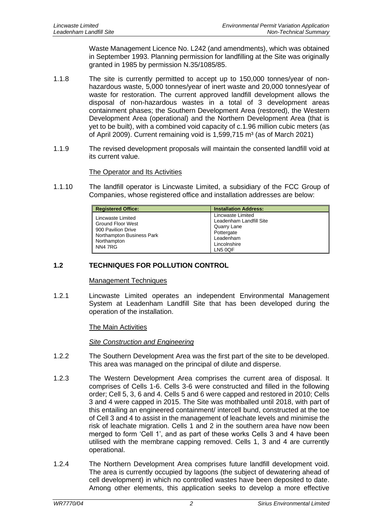Waste Management Licence No. L242 (and amendments), which was obtained in September 1993. Planning permission for landfilling at the Site was originally granted in 1985 by permission N.35/1085/85.

- 1.1.8 The site is currently permitted to accept up to 150,000 tonnes/year of nonhazardous waste, 5,000 tonnes/year of inert waste and 20,000 tonnes/year of waste for restoration. The current approved landfill development allows the disposal of non-hazardous wastes in a total of 3 development areas containment phases; the Southern Development Area (restored), the Western Development Area (operational) and the Northern Development Area (that is yet to be built), with a combined void capacity of c.1.96 million cubic meters (as of April 2009). Current remaining void is  $1,599,715$  m<sup>3</sup> (as of March 2021)
- 1.1.9 The revised development proposals will maintain the consented landfill void at its current value.

## The Operator and Its Activities

1.1.10 The landfill operator is Lincwaste Limited, a subsidiary of the FCC Group of Companies, whose registered office and installation addresses are below:

| <b>Registered Office:</b>                                                                                                  | <b>Installation Address:</b>                                                                                      |
|----------------------------------------------------------------------------------------------------------------------------|-------------------------------------------------------------------------------------------------------------------|
| Lincwaste Limited<br><b>Ground Floor West</b><br>900 Pavilion Drive<br>Northampton Business Park<br>Northampton<br>NN4 7RG | Lincwaste Limited<br>Leadenham Landfill Site<br>Quarry Lane<br>Pottergate<br>Leadenham<br>Lincolnshire<br>LN5 0QF |

## <span id="page-4-0"></span>**1.2 TECHNIQUES FOR POLLUTION CONTROL**

#### Management Techniques

1.2.1 Lincwaste Limited operates an independent Environmental Management System at Leadenham Landfill Site that has been developed during the operation of the installation.

#### The Main Activities

#### *Site Construction and Engineering*

- 1.2.2 The Southern Development Area was the first part of the site to be developed. This area was managed on the principal of dilute and disperse.
- 1.2.3 The Western Development Area comprises the current area of disposal. It comprises of Cells 1-6. Cells 3-6 were constructed and filled in the following order; Cell 5, 3, 6 and 4. Cells 5 and 6 were capped and restored in 2010; Cells 3 and 4 were capped in 2015. The Site was mothballed until 2018, with part of this entailing an engineered containment/ intercell bund, constructed at the toe of Cell 3 and 4 to assist in the management of leachate levels and minimise the risk of leachate migration. Cells 1 and 2 in the southern area have now been merged to form 'Cell 1', and as part of these works Cells 3 and 4 have been utilised with the membrane capping removed. Cells 1, 3 and 4 are currently operational.
- 1.2.4 The Northern Development Area comprises future landfill development void. The area is currently occupied by lagoons (the subject of dewatering ahead of cell development) in which no controlled wastes have been deposited to date. Among other elements, this application seeks to develop a more effective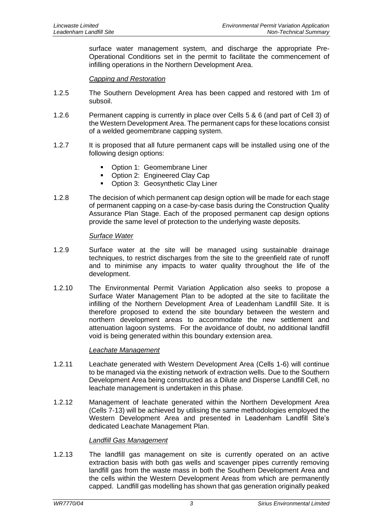surface water management system, and discharge the appropriate Pre-Operational Conditions set in the permit to facilitate the commencement of infilling operations in the Northern Development Area.

### *Capping and Restoration*

- 1.2.5 The Southern Development Area has been capped and restored with 1m of subsoil.
- 1.2.6 Permanent capping is currently in place over Cells 5 & 6 (and part of Cell 3) of the Western Development Area. The permanent caps for these locations consist of a welded geomembrane capping system.
- 1.2.7 It is proposed that all future permanent caps will be installed using one of the following design options:
	- Option 1: Geomembrane Liner
	- Option 2: Engineered Clay Cap
	- Option 3: Geosynthetic Clay Liner
- 1.2.8 The decision of which permanent cap design option will be made for each stage of permanent capping on a case-by-case basis during the Construction Quality Assurance Plan Stage. Each of the proposed permanent cap design options provide the same level of protection to the underlying waste deposits.

#### *Surface Water*

- 1.2.9 Surface water at the site will be managed using sustainable drainage techniques, to restrict discharges from the site to the greenfield rate of runoff and to minimise any impacts to water quality throughout the life of the development.
- 1.2.10 The Environmental Permit Variation Application also seeks to propose a Surface Water Management Plan to be adopted at the site to facilitate the infilling of the Northern Development Area of Leadenham Landfill Site. It is therefore proposed to extend the site boundary between the western and northern development areas to accommodate the new settlement and attenuation lagoon systems. For the avoidance of doubt, no additional landfill void is being generated within this boundary extension area.

## *Leachate Management*

- 1.2.11 Leachate generated with Western Development Area (Cells 1-6) will continue to be managed via the existing network of extraction wells. Due to the Southern Development Area being constructed as a Dilute and Disperse Landfill Cell, no leachate management is undertaken in this phase.
- 1.2.12 Management of leachate generated within the Northern Development Area (Cells 7-13) will be achieved by utilising the same methodologies employed the Western Development Area and presented in Leadenham Landfill Site's dedicated Leachate Management Plan.

## *Landfill Gas Management*

1.2.13 The landfill gas management on site is currently operated on an active extraction basis with both gas wells and scavenger pipes currently removing landfill gas from the waste mass in both the Southern Development Area and the cells within the Western Development Areas from which are permanently capped. Landfill gas modelling has shown that gas generation originally peaked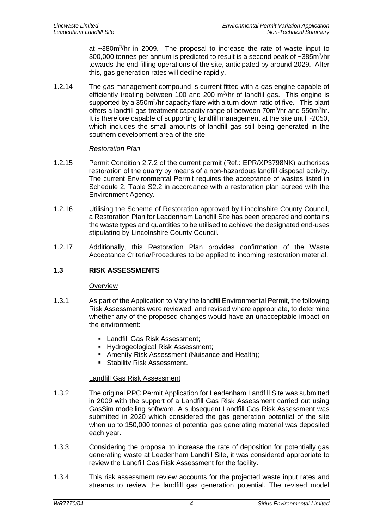at ~380m<sup>3</sup>/hr in 2009. The proposal to increase the rate of waste input to 300,000 tonnes per annum is predicted to result is a second peak of ~385m<sup>3</sup>/hr towards the end filling operations of the site, anticipated by around 2029. After this, gas generation rates will decline rapidly.

1.2.14 The gas management compound is current fitted with a gas engine capable of efficiently treating between 100 and 200  $\text{m}^3/\text{hr}$  of landfill gas. This engine is supported by a 350m<sup>3</sup>/hr capacity flare with a turn-down ratio of five. This plant offers a landfill gas treatment capacity range of between 70m<sup>3</sup>/hr and 550m<sup>3</sup>hr. It is therefore capable of supporting landfill management at the site until ~2050, which includes the small amounts of landfill gas still being generated in the southern development area of the site.

## *Restoration Plan*

- 1.2.15 Permit Condition 2.7.2 of the current permit (Ref.: EPR/XP3798NK) authorises restoration of the quarry by means of a non-hazardous landfill disposal activity. The current Environmental Permit requires the acceptance of wastes listed in Schedule 2, Table S2.2 in accordance with a restoration plan agreed with the Environment Agency.
- 1.2.16 Utilising the Scheme of Restoration approved by Lincolnshire County Council, a Restoration Plan for Leadenham Landfill Site has been prepared and contains the waste types and quantities to be utilised to achieve the designated end-uses stipulating by Lincolnshire County Council.
- 1.2.17 Additionally, this Restoration Plan provides confirmation of the Waste Acceptance Criteria/Procedures to be applied to incoming restoration material.

## <span id="page-6-0"></span>**1.3 RISK ASSESSMENTS**

#### **Overview**

- 1.3.1 As part of the Application to Vary the landfill Environmental Permit, the following Risk Assessments were reviewed, and revised where appropriate, to determine whether any of the proposed changes would have an unacceptable impact on the environment:
	- Landfill Gas Risk Assessment;
	- Hydrogeological Risk Assessment;
	- **E** Amenity Risk Assessment (Nuisance and Health);
	- **E** Stability Risk Assessment.

#### Landfill Gas Risk Assessment

- 1.3.2 The original PPC Permit Application for Leadenham Landfill Site was submitted in 2009 with the support of a Landfill Gas Risk Assessment carried out using GasSim modelling software. A subsequent Landfill Gas Risk Assessment was submitted in 2020 which considered the gas generation potential of the site when up to 150,000 tonnes of potential gas generating material was deposited each year.
- 1.3.3 Considering the proposal to increase the rate of deposition for potentially gas generating waste at Leadenham Landfill Site, it was considered appropriate to review the Landfill Gas Risk Assessment for the facility.
- 1.3.4 This risk assessment review accounts for the projected waste input rates and streams to review the landfill gas generation potential. The revised model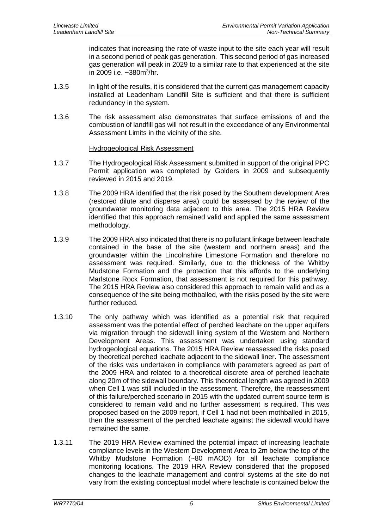indicates that increasing the rate of waste input to the site each year will result in a second period of peak gas generation. This second period of gas increased gas generation will peak in 2029 to a similar rate to that experienced at the site in 2009 i.e. ~380m<sup>3</sup>/hr.

- 1.3.5 In light of the results, it is considered that the current gas management capacity installed at Leadenham Landfill Site is sufficient and that there is sufficient redundancy in the system.
- 1.3.6 The risk assessment also demonstrates that surface emissions of and the combustion of landfill gas will not result in the exceedance of any Environmental Assessment Limits in the vicinity of the site.

#### Hydrogeological Risk Assessment

- 1.3.7 The Hydrogeological Risk Assessment submitted in support of the original PPC Permit application was completed by Golders in 2009 and subsequently reviewed in 2015 and 2019.
- 1.3.8 The 2009 HRA identified that the risk posed by the Southern development Area (restored dilute and disperse area) could be assessed by the review of the groundwater monitoring data adjacent to this area. The 2015 HRA Review identified that this approach remained valid and applied the same assessment methodology.
- 1.3.9 The 2009 HRA also indicated that there is no pollutant linkage between leachate contained in the base of the site (western and northern areas) and the groundwater within the Lincolnshire Limestone Formation and therefore no assessment was required. Similarly, due to the thickness of the Whitby Mudstone Formation and the protection that this affords to the underlying Marlstone Rock Formation, that assessment is not required for this pathway. The 2015 HRA Review also considered this approach to remain valid and as a consequence of the site being mothballed, with the risks posed by the site were further reduced.
- 1.3.10 The only pathway which was identified as a potential risk that required assessment was the potential effect of perched leachate on the upper aquifers via migration through the sidewall lining system of the Western and Northern Development Areas. This assessment was undertaken using standard hydrogeological equations. The 2015 HRA Review reassessed the risks posed by theoretical perched leachate adjacent to the sidewall liner. The assessment of the risks was undertaken in compliance with parameters agreed as part of the 2009 HRA and related to a theoretical discrete area of perched leachate along 20m of the sidewall boundary. This theoretical length was agreed in 2009 when Cell 1 was still included in the assessment. Therefore, the reassessment of this failure/perched scenario in 2015 with the updated current source term is considered to remain valid and no further assessment is required. This was proposed based on the 2009 report, if Cell 1 had not been mothballed in 2015, then the assessment of the perched leachate against the sidewall would have remained the same.
- 1.3.11 The 2019 HRA Review examined the potential impact of increasing leachate compliance levels in the Western Development Area to 2m below the top of the Whitby Mudstone Formation (~80 mAOD) for all leachate compliance monitoring locations. The 2019 HRA Review considered that the proposed changes to the leachate management and control systems at the site do not vary from the existing conceptual model where leachate is contained below the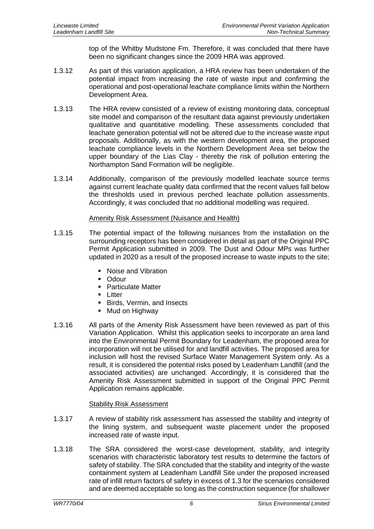top of the Whitby Mudstone Fm. Therefore, it was concluded that there have been no significant changes since the 2009 HRA was approved.

- 1.3.12 As part of this variation application, a HRA review has been undertaken of the potential impact from increasing the rate of waste input and confirming the operational and post-operational leachate compliance limits within the Northern Development Area.
- 1.3.13 The HRA review consisted of a review of existing monitoring data, conceptual site model and comparison of the resultant data against previously undertaken qualitative and quantitative modelling. These assessments concluded that leachate generation potential will not be altered due to the increase waste input proposals. Additionally, as with the western development area, the proposed leachate compliance levels in the Northern Development Area set below the upper boundary of the Lias Clay - thereby the risk of pollution entering the Northampton Sand Formation will be negligible.
- 1.3.14 Additionally, comparison of the previously modelled leachate source terms against current leachate quality data confirmed that the recent values fall below the thresholds used in previous perched leachate pollution assessments. Accordingly, it was concluded that no additional modelling was required.

## Amenity Risk Assessment (Nuisance and Health)

- 1.3.15 The potential impact of the following nuisances from the installation on the surrounding receptors has been considered in detail as part of the Original PPC Permit Application submitted in 2009. The Dust and Odour MPs was further updated in 2020 as a result of the proposed increase to waste inputs to the site;
	- Noise and Vibration
	- Odour
	- Particulate Matter
	- Litter
	- Birds, Vermin, and Insects
	- Mud on Highway
- 1.3.16 All parts of the Amenity Risk Assessment have been reviewed as part of this Variation Application. Whilst this application seeks to incorporate an area land into the Environmental Permit Boundary for Leadenham, the proposed area for incorporation will not be utilised for and landfill activities. The proposed area for inclusion will host the revised Surface Water Management System only. As a result, it is considered the potential risks posed by Leadenham Landfill (and the associated activities) are unchanged. Accordingly, it is considered that the Amenity Risk Assessment submitted in support of the Original PPC Permit Application remains applicable.

#### Stability Risk Assessment

- 1.3.17 A review of stability risk assessment has assessed the stability and integrity of the lining system, and subsequent waste placement under the proposed increased rate of waste input.
- 1.3.18 The SRA considered the worst-case development, stability, and integrity scenarios with characteristic laboratory test results to determine the factors of safety of stability. The SRA concluded that the stability and integrity of the waste containment system at Leadenham Landfill Site under the proposed increased rate of infill return factors of safety in excess of 1.3 for the scenarios considered and are deemed acceptable so long as the construction sequence (for shallower